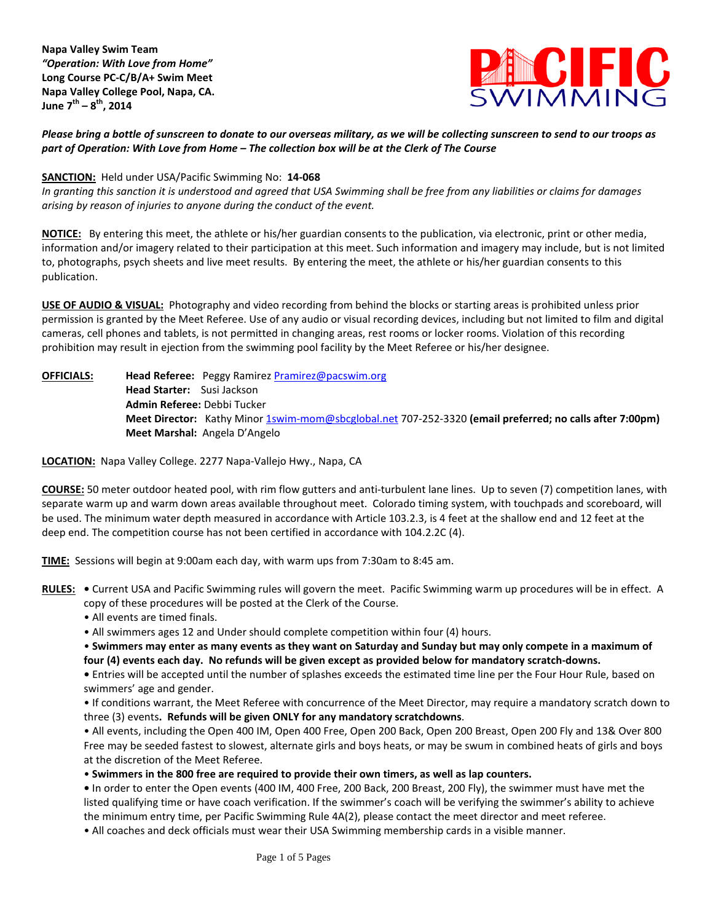**Napa Valley Swim Team**  *"Operation: With Love from Home"* **Long Course PC-C/B/A+ Swim Meet Napa Valley College Pool, Napa, CA. June 7th – 8 th, 2014**



*Please bring a bottle of sunscreen to donate to our overseas military, as we will be collecting sunscreen to send to our troops as part of Operation: With Love from Home – The collection box will be at the Clerk of The Course* 

## **SANCTION:** Held under USA/Pacific Swimming No: **14-068**

*In granting this sanction it is understood and agreed that USA Swimming shall be free from any liabilities or claims for damages arising by reason of injuries to anyone during the conduct of the event.* 

**NOTICE:** By entering this meet, the athlete or his/her guardian consents to the publication, via electronic, print or other media, information and/or imagery related to their participation at this meet. Such information and imagery may include, but is not limited to, photographs, psych sheets and live meet results. By entering the meet, the athlete or his/her guardian consents to this publication.

**USE OF AUDIO & VISUAL:** Photography and video recording from behind the blocks or starting areas is prohibited unless prior permission is granted by the Meet Referee. Use of any audio or visual recording devices, including but not limited to film and digital cameras, cell phones and tablets, is not permitted in changing areas, rest rooms or locker rooms. Violation of this recording prohibition may result in ejection from the swimming pool facility by the Meet Referee or his/her designee.

**OFFICIALS: Head Referee:** Peggy Ramire[z Pramirez@pacswim.org](mailto:Pramirez@pacswim.org) **Head Starter:** Susi Jackson **Admin Referee:** Debbi Tucker **Meet Director:** Kathy Minor [1swim-mom@sbcglobal.net](mailto:1swim-mom@sbcglobal.net) 707-252-3320 **(email preferred; no calls after 7:00pm) Meet Marshal:** Angela D'Angelo

**LOCATION:** Napa Valley College. 2277 Napa-Vallejo Hwy., Napa, CA

**COURSE:** 50 meter outdoor heated pool, with rim flow gutters and anti-turbulent lane lines. Up to seven (7) competition lanes, with separate warm up and warm down areas available throughout meet. Colorado timing system, with touchpads and scoreboard, will be used. The minimum water depth measured in accordance with Article 103.2.3, is 4 feet at the shallow end and 12 feet at the deep end. The competition course has not been certified in accordance with 104.2.2C (4).

**TIME:** Sessions will begin at 9:00am each day, with warm ups from 7:30am to 8:45 am.

- **RULES: •** Current USA and Pacific Swimming rules will govern the meet. Pacific Swimming warm up procedures will be in effect. A copy of these procedures will be posted at the Clerk of the Course.
	- All events are timed finals.
	- All swimmers ages 12 and Under should complete competition within four (4) hours.

• **Swimmers may enter as many events as they want on Saturday and Sunday but may only compete in a maximum of four (4) events each day. No refunds will be given except as provided below for mandatory scratch-downs.** 

**•** Entries will be accepted until the number of splashes exceeds the estimated time line per the Four Hour Rule, based on swimmers' age and gender.

• If conditions warrant, the Meet Referee with concurrence of the Meet Director, may require a mandatory scratch down to three (3) events**. Refunds will be given ONLY for any mandatory scratchdowns**.

• All events, including the Open 400 IM, Open 400 Free, Open 200 Back, Open 200 Breast, Open 200 Fly and 13& Over 800 Free may be seeded fastest to slowest, alternate girls and boys heats, or may be swum in combined heats of girls and boys at the discretion of the Meet Referee.

• **Swimmers in the 800 free are required to provide their own timers, as well as lap counters.**

**•** In order to enter the Open events (400 IM, 400 Free, 200 Back, 200 Breast, 200 Fly), the swimmer must have met the listed qualifying time or have coach verification. If the swimmer's coach will be verifying the swimmer's ability to achieve the minimum entry time, per Pacific Swimming Rule 4A(2), please contact the meet director and meet referee.

• All coaches and deck officials must wear their USA Swimming membership cards in a visible manner.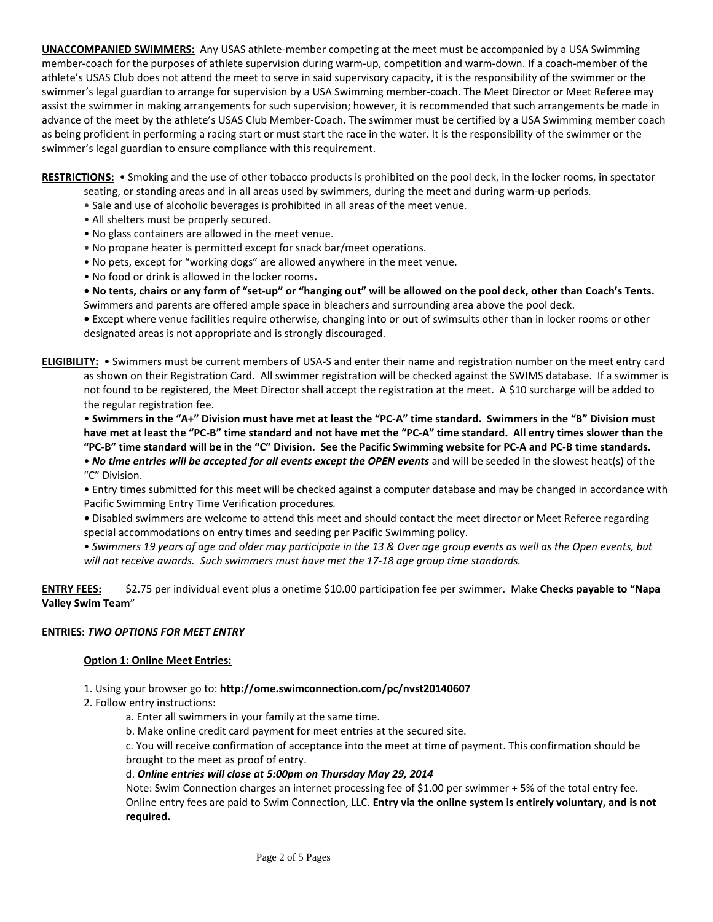**UNACCOMPANIED SWIMMERS:** Any USAS athlete-member competing at the meet must be accompanied by a USA Swimming member-coach for the purposes of athlete supervision during warm-up, competition and warm-down. If a coach-member of the athlete's USAS Club does not attend the meet to serve in said supervisory capacity, it is the responsibility of the swimmer or the swimmer's legal guardian to arrange for supervision by a USA Swimming member-coach. The Meet Director or Meet Referee may assist the swimmer in making arrangements for such supervision; however, it is recommended that such arrangements be made in advance of the meet by the athlete's USAS Club Member-Coach. The swimmer must be certified by a USA Swimming member coach as being proficient in performing a racing start or must start the race in the water. It is the responsibility of the swimmer or the swimmer's legal guardian to ensure compliance with this requirement.

**RESTRICTIONS:** • Smoking and the use of other tobacco products is prohibited on the pool deck, in the locker rooms, in spectator

- seating, or standing areas and in all areas used by swimmers, during the meet and during warm-up periods.
- Sale and use of alcoholic beverages is prohibited in all areas of the meet venue.
- All shelters must be properly secured.
- No glass containers are allowed in the meet venue.
- No propane heater is permitted except for snack bar/meet operations.
- No pets, except for "working dogs" are allowed anywhere in the meet venue.
- No food or drink is allowed in the locker rooms**.**

**• No tents, chairs or any form of "set-up" or "hanging out" will be allowed on the pool deck, other than Coach's Tents.**  Swimmers and parents are offered ample space in bleachers and surrounding area above the pool deck.

**•** Except where venue facilities require otherwise, changing into or out of swimsuits other than in locker rooms or other designated areas is not appropriate and is strongly discouraged.

**ELIGIBILITY:** • Swimmers must be current members of USA-S and enter their name and registration number on the meet entry card as shown on their Registration Card. All swimmer registration will be checked against the SWIMS database. If a swimmer is not found to be registered, the Meet Director shall accept the registration at the meet. A \$10 surcharge will be added to the regular registration fee.

• **Swimmers in the "A+" Division must have met at least the "PC-A" time standard. Swimmers in the "B" Division must have met at least the "PC-B" time standard and not have met the "PC-A" time standard. All entry times slower than the "PC-B" time standard will be in the "C" Division. See the Pacific Swimming website for PC-A and PC-B time standards.**

• *No time entries will be accepted for all events except the OPEN events* and will be seeded in the slowest heat(s) of the "C" Division.

- Entry times submitted for this meet will be checked against a computer database and may be changed in accordance with Pacific Swimming Entry Time Verification procedures*.*
- *•* Disabled swimmers are welcome to attend this meet and should contact the meet director or Meet Referee regarding special accommodations on entry times and seeding per Pacific Swimming policy.
- *Swimmers 19 years of age and older may participate in the 13 & Over age group events as well as the Open events, but will not receive awards. Such swimmers must have met the 17-18 age group time standards.*

**ENTRY FEES:** \$2.75 per individual event plus a onetime \$10.00 participation fee per swimmer. Make **Checks payable to "Napa Valley Swim Team**"

#### **ENTRIES:** *TWO OPTIONS FOR MEET ENTRY*

#### **Option 1: Online Meet Entries:**

- 1. Using your browser go to: **http://ome.swimconnection.com/pc/nvst20140607**
- 2. Follow entry instructions:
	- a. Enter all swimmers in your family at the same time.
	- b. Make online credit card payment for meet entries at the secured site.

c. You will receive confirmation of acceptance into the meet at time of payment. This confirmation should be brought to the meet as proof of entry.

# d. *Online entries will close at 5:00pm on Thursday May 29, 2014*

Note: Swim Connection charges an internet processing fee of \$1.00 per swimmer + 5% of the total entry fee. Online entry fees are paid to Swim Connection, LLC. **Entry via the online system is entirely voluntary, and is not required.**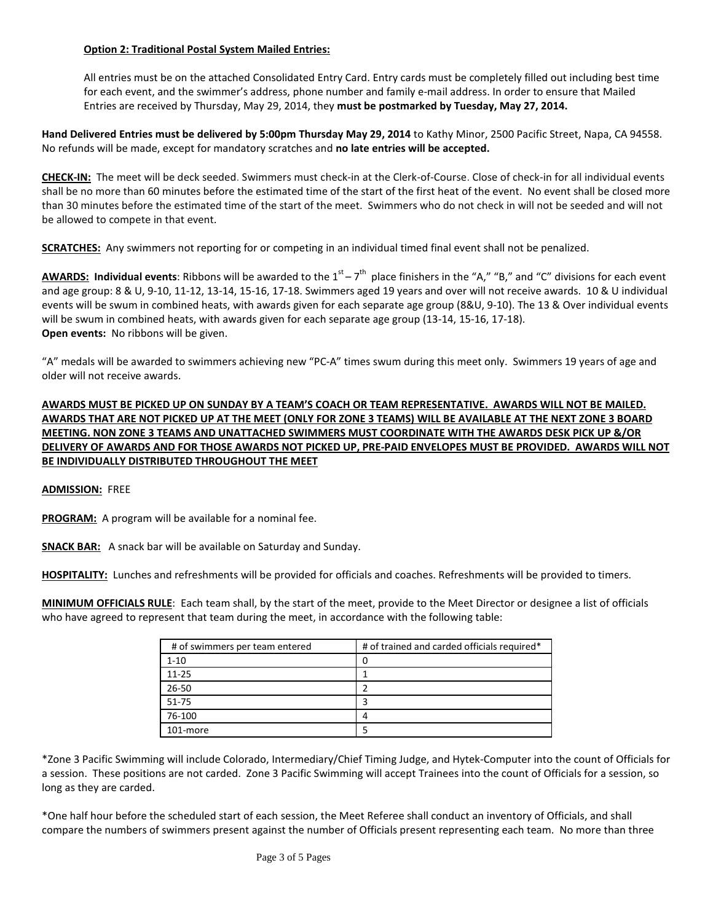## **Option 2: Traditional Postal System Mailed Entries:**

All entries must be on the attached Consolidated Entry Card. Entry cards must be completely filled out including best time for each event, and the swimmer's address, phone number and family e-mail address. In order to ensure that Mailed Entries are received by Thursday, May 29, 2014, they **must be postmarked by Tuesday, May 27, 2014.**

**Hand Delivered Entries must be delivered by 5:00pm Thursday May 29, 2014** to Kathy Minor, 2500 Pacific Street, Napa, CA 94558. No refunds will be made, except for mandatory scratches and **no late entries will be accepted.** 

**CHECK-IN:** The meet will be deck seeded. Swimmers must check-in at the Clerk-of-Course. Close of check-in for all individual events shall be no more than 60 minutes before the estimated time of the start of the first heat of the event. No event shall be closed more than 30 minutes before the estimated time of the start of the meet. Swimmers who do not check in will not be seeded and will not be allowed to compete in that event.

**SCRATCHES:** Any swimmers not reporting for or competing in an individual timed final event shall not be penalized.

AWARDS: Individual events: Ribbons will be awarded to the 1<sup>st</sup> – 7<sup>th</sup> place finishers in the "A," "B," and "C" divisions for each event and age group: 8 & U, 9-10, 11-12, 13-14, 15-16, 17-18. Swimmers aged 19 years and over will not receive awards. 10 & U individual events will be swum in combined heats, with awards given for each separate age group (8&U, 9-10). The 13 & Over individual events will be swum in combined heats, with awards given for each separate age group (13-14, 15-16, 17-18). **Open events:** No ribbons will be given.

"A" medals will be awarded to swimmers achieving new "PC-A" times swum during this meet only. Swimmers 19 years of age and older will not receive awards.

**AWARDS MUST BE PICKED UP ON SUNDAY BY A TEAM'S COACH OR TEAM REPRESENTATIVE. AWARDS WILL NOT BE MAILED. AWARDS THAT ARE NOT PICKED UP AT THE MEET (ONLY FOR ZONE 3 TEAMS) WILL BE AVAILABLE AT THE NEXT ZONE 3 BOARD MEETING. NON ZONE 3 TEAMS AND UNATTACHED SWIMMERS MUST COORDINATE WITH THE AWARDS DESK PICK UP &/OR DELIVERY OF AWARDS AND FOR THOSE AWARDS NOT PICKED UP, PRE-PAID ENVELOPES MUST BE PROVIDED. AWARDS WILL NOT BE INDIVIDUALLY DISTRIBUTED THROUGHOUT THE MEET** 

**ADMISSION:** FREE

**PROGRAM:** A program will be available for a nominal fee.

**SNACK BAR:** A snack bar will be available on Saturday and Sunday.

**HOSPITALITY:** Lunches and refreshments will be provided for officials and coaches. Refreshments will be provided to timers.

**MINIMUM OFFICIALS RULE**: Each team shall, by the start of the meet, provide to the Meet Director or designee a list of officials who have agreed to represent that team during the meet, in accordance with the following table:

| # of swimmers per team entered | # of trained and carded officials required* |
|--------------------------------|---------------------------------------------|
| $1 - 10$                       | 0                                           |
| $11 - 25$                      |                                             |
| 26-50                          |                                             |
| 51-75                          |                                             |
| 76-100                         | л                                           |
| 101-more                       |                                             |

\*Zone 3 Pacific Swimming will include Colorado, Intermediary/Chief Timing Judge, and Hytek-Computer into the count of Officials for a session. These positions are not carded. Zone 3 Pacific Swimming will accept Trainees into the count of Officials for a session, so long as they are carded.

\*One half hour before the scheduled start of each session, the Meet Referee shall conduct an inventory of Officials, and shall compare the numbers of swimmers present against the number of Officials present representing each team. No more than three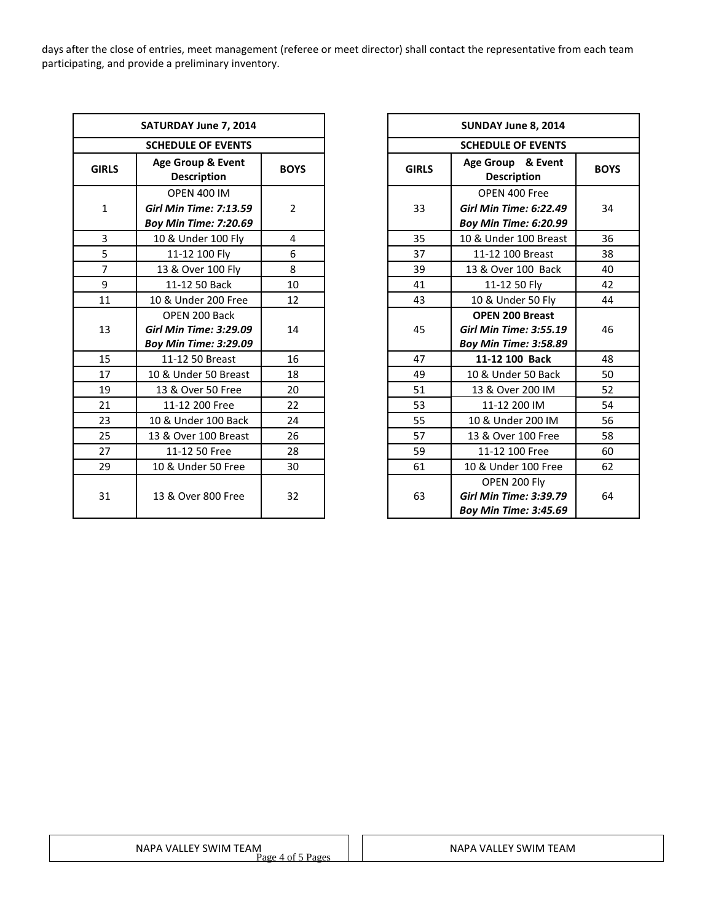days after the close of entries, meet management (referee or meet director) shall contact the representative from each team participating, and provide a preliminary inventory.

|                | SATURDAY June 7, 2014                                         |                |              | SUNDAY June 8, 2014                                                           |
|----------------|---------------------------------------------------------------|----------------|--------------|-------------------------------------------------------------------------------|
|                | <b>SCHEDULE OF EVENTS</b>                                     |                |              | <b>SCHEDULE OF EVENTS</b>                                                     |
| <b>GIRLS</b>   | Age Group & Event<br><b>Description</b>                       | <b>BOYS</b>    | <b>GIRLS</b> | Age Group & Event<br><b>Description</b>                                       |
|                | <b>OPEN 400 IM</b>                                            | $\overline{2}$ | 33           | OPEN 400 Free                                                                 |
| $\mathbf{1}$   | <b>Girl Min Time: 7:13.59</b><br><b>Boy Min Time: 7:20.69</b> |                |              | <b>Girl Min Time: 6:22.49</b><br>Boy Min Time: 6:20.99                        |
| 3              | 10 & Under 100 Fly                                            | 4              | 35           | 10 & Under 100 Breast                                                         |
| 5              | 11-12 100 Fly                                                 | 6              | 37           | 11-12 100 Breast                                                              |
| $\overline{7}$ | 13 & Over 100 Fly                                             | 8              | 39           | 13 & Over 100 Back                                                            |
| 9              | 11-12 50 Back                                                 | 10             | 41           | 11-12 50 Fly                                                                  |
| 11             | 10 & Under 200 Free                                           | 12             | 43           | 10 & Under 50 Fly                                                             |
|                | OPEN 200 Back                                                 |                |              | <b>OPEN 200 Breast</b>                                                        |
| 13             | <b>Girl Min Time: 3:29.09</b>                                 | 14             | 45           | <b>Girl Min Time: 3:55.19</b>                                                 |
|                | <b>Boy Min Time: 3:29.09</b>                                  |                |              | <b>Boy Min Time: 3:58.89</b>                                                  |
| 15             | 11-12 50 Breast                                               | 16             | 47           | 11-12 100 Back                                                                |
| 17             | 10 & Under 50 Breast                                          | 18             | 49           | 10 & Under 50 Back                                                            |
| 19             | 13 & Over 50 Free                                             | 20             | 51           | 13 & Over 200 IM                                                              |
| 21             | 11-12 200 Free                                                | 22             | 53           | 11-12 200 IM                                                                  |
| 23             | 10 & Under 100 Back                                           | 24             | 55           | 10 & Under 200 IM                                                             |
| 25             | 13 & Over 100 Breast                                          | 26             | 57           | 13 & Over 100 Free                                                            |
| 27             | 11-12 50 Free                                                 | 28             | 59           | 11-12 100 Free                                                                |
| 29             | 10 & Under 50 Free                                            | 30             | 61           | 10 & Under 100 Free                                                           |
| 31             | 13 & Over 800 Free                                            | 32             | 63           | OPEN 200 Fly<br><b>Girl Min Time: 3:39.79</b><br><b>Boy Min Time: 3:45.69</b> |
|                |                                                               |                |              |                                                                               |

|                   | SATURDAY June 7, 2014                   |                |              | SUNDAY June 8, 2014                     |             |  |
|-------------------|-----------------------------------------|----------------|--------------|-----------------------------------------|-------------|--|
|                   |                                         |                |              |                                         |             |  |
|                   | <b>SCHEDULE OF EVENTS</b>               |                |              | <b>SCHEDULE OF EVENTS</b>               |             |  |
| <b>IRLS</b>       | Age Group & Event<br><b>Description</b> | <b>BOYS</b>    | <b>GIRLS</b> | Age Group & Event<br><b>Description</b> | <b>BOYS</b> |  |
|                   | <b>OPEN 400 IM</b>                      |                |              | OPEN 400 Free                           |             |  |
| $\mathbf{1}$      | <b>Girl Min Time: 7:13.59</b>           | 2              | 33           | <b>Girl Min Time: 6:22.49</b>           | 34          |  |
|                   | <b>Boy Min Time: 7:20.69</b>            |                |              | <b>Boy Min Time: 6:20.99</b>            |             |  |
| $\overline{3}$    | 10 & Under 100 Fly                      | $\overline{4}$ | 35           | 10 & Under 100 Breast                   | 36          |  |
| 5                 | 11-12 100 Fly                           | 6              | 37           | 11-12 100 Breast                        | 38          |  |
| $\overline{7}$    | 13 & Over 100 Fly                       | 8              | 39           | 13 & Over 100 Back                      | 40          |  |
| $\overline{9}$    | 11-12 50 Back                           | 10             | 41           | 11-12 50 Fly                            | 42          |  |
| 11                | 10 & Under 200 Free                     | 12             | 43           | 10 & Under 50 Fly                       | 44          |  |
|                   | OPEN 200 Back                           |                |              | <b>OPEN 200 Breast</b>                  |             |  |
| 13                | <b>Girl Min Time: 3:29.09</b>           | 14             | 45           | <b>Girl Min Time: 3:55.19</b>           | 46          |  |
|                   | <b>Boy Min Time: 3:29.09</b>            |                |              | <b>Boy Min Time: 3:58.89</b>            |             |  |
| 15                | 11-12 50 Breast                         | 16             | 47           | 11-12 100 Back                          | 48          |  |
| 17                | 10 & Under 50 Breast                    | 18             | 49           | 10 & Under 50 Back                      | 50          |  |
| 19                | 13 & Over 50 Free                       | 20             | 51           | 13 & Over 200 IM                        | 52          |  |
| 21                | 11-12 200 Free                          | 22             | 53           | 11-12 200 IM                            | 54          |  |
| 23                | 10 & Under 100 Back                     | 24             | 55           | 10 & Under 200 IM                       | 56          |  |
| $25 \overline{)}$ | 13 & Over 100 Breast                    | 26             | 57           | 13 & Over 100 Free                      | 58          |  |
| 27                | 11-12 50 Free                           | 28             | 59           | 11-12 100 Free                          | 60          |  |
| 29                | 10 & Under 50 Free                      | 30             | 61           | 10 & Under 100 Free                     | 62          |  |
|                   |                                         |                |              | OPEN 200 Fly                            |             |  |
| 31                | 13 & Over 800 Free                      | 32             | 63           | <b>Girl Min Time: 3:39.79</b>           | 64          |  |
|                   |                                         |                |              | <b>Boy Min Time: 3:45.69</b>            |             |  |